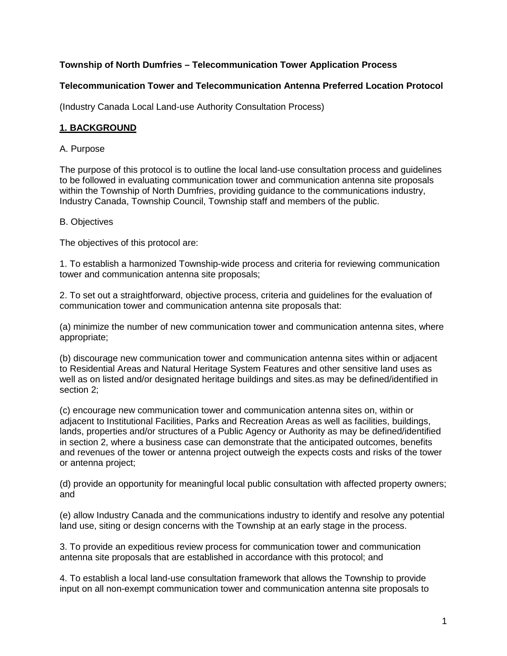# **Township of North Dumfries – Telecommunication Tower Application Process**

### **Telecommunication Tower and Telecommunication Antenna Preferred Location Protocol**

(Industry Canada Local Land-use Authority Consultation Process)

### **1. BACKGROUND**

#### A. Purpose

The purpose of this protocol is to outline the local land-use consultation process and guidelines to be followed in evaluating communication tower and communication antenna site proposals within the Township of North Dumfries, providing guidance to the communications industry, Industry Canada, Township Council, Township staff and members of the public.

#### B. Objectives

The objectives of this protocol are:

1. To establish a harmonized Township-wide process and criteria for reviewing communication tower and communication antenna site proposals;

2. To set out a straightforward, objective process, criteria and guidelines for the evaluation of communication tower and communication antenna site proposals that:

(a) minimize the number of new communication tower and communication antenna sites, where appropriate;

(b) discourage new communication tower and communication antenna sites within or adjacent to Residential Areas and Natural Heritage System Features and other sensitive land uses as well as on listed and/or designated heritage buildings and sites.as may be defined/identified in section 2;

(c) encourage new communication tower and communication antenna sites on, within or adjacent to Institutional Facilities, Parks and Recreation Areas as well as facilities, buildings, lands, properties and/or structures of a Public Agency or Authority as may be defined/identified in section 2, where a business case can demonstrate that the anticipated outcomes, benefits and revenues of the tower or antenna project outweigh the expects costs and risks of the tower or antenna project;

(d) provide an opportunity for meaningful local public consultation with affected property owners; and

(e) allow Industry Canada and the communications industry to identify and resolve any potential land use, siting or design concerns with the Township at an early stage in the process.

3. To provide an expeditious review process for communication tower and communication antenna site proposals that are established in accordance with this protocol; and

4. To establish a local land-use consultation framework that allows the Township to provide input on all non-exempt communication tower and communication antenna site proposals to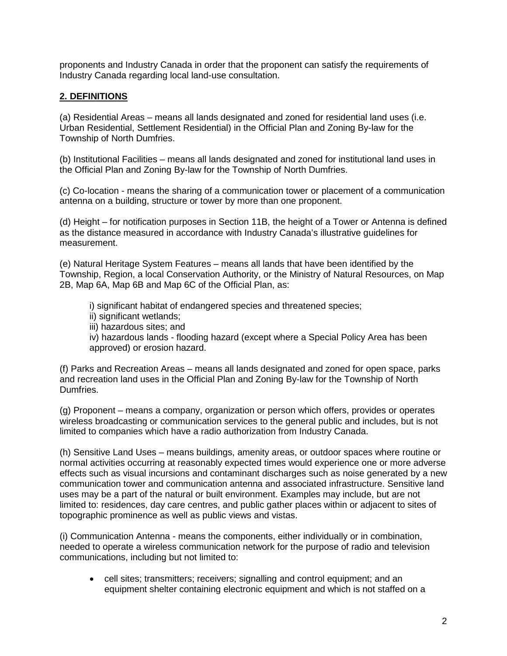proponents and Industry Canada in order that the proponent can satisfy the requirements of Industry Canada regarding local land-use consultation.

### **2. DEFINITIONS**

(a) Residential Areas – means all lands designated and zoned for residential land uses (i.e. Urban Residential, Settlement Residential) in the Official Plan and Zoning By-law for the Township of North Dumfries.

(b) Institutional Facilities – means all lands designated and zoned for institutional land uses in the Official Plan and Zoning By-law for the Township of North Dumfries.

(c) Co-location - means the sharing of a communication tower or placement of a communication antenna on a building, structure or tower by more than one proponent.

(d) Height – for notification purposes in Section 11B, the height of a Tower or Antenna is defined as the distance measured in accordance with Industry Canada's illustrative guidelines for measurement.

(e) Natural Heritage System Features – means all lands that have been identified by the Township, Region, a local Conservation Authority, or the Ministry of Natural Resources, on Map 2B, Map 6A, Map 6B and Map 6C of the Official Plan, as:

i) significant habitat of endangered species and threatened species; ii) significant wetlands; iii) hazardous sites; and iv) hazardous lands - flooding hazard (except where a Special Policy Area has been approved) or erosion hazard.

(f) Parks and Recreation Areas – means all lands designated and zoned for open space, parks and recreation land uses in the Official Plan and Zoning By-law for the Township of North Dumfries.

(g) Proponent – means a company, organization or person which offers, provides or operates wireless broadcasting or communication services to the general public and includes, but is not limited to companies which have a radio authorization from Industry Canada.

(h) Sensitive Land Uses – means buildings, amenity areas, or outdoor spaces where routine or normal activities occurring at reasonably expected times would experience one or more adverse effects such as visual incursions and contaminant discharges such as noise generated by a new communication tower and communication antenna and associated infrastructure. Sensitive land uses may be a part of the natural or built environment. Examples may include, but are not limited to: residences, day care centres, and public gather places within or adjacent to sites of topographic prominence as well as public views and vistas.

(i) Communication Antenna - means the components, either individually or in combination, needed to operate a wireless communication network for the purpose of radio and television communications, including but not limited to:

• cell sites; transmitters; receivers; signalling and control equipment; and an equipment shelter containing electronic equipment and which is not staffed on a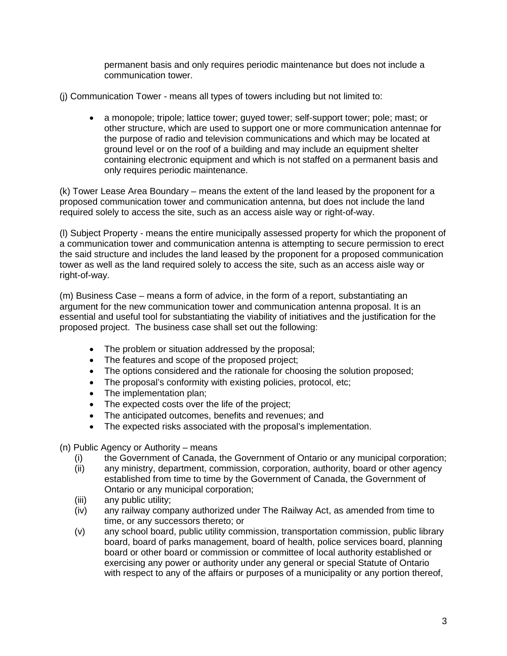permanent basis and only requires periodic maintenance but does not include a communication tower.

(j) Communication Tower - means all types of towers including but not limited to:

• a monopole; tripole; lattice tower; guyed tower; self-support tower; pole; mast; or other structure, which are used to support one or more communication antennae for the purpose of radio and television communications and which may be located at ground level or on the roof of a building and may include an equipment shelter containing electronic equipment and which is not staffed on a permanent basis and only requires periodic maintenance.

(k) Tower Lease Area Boundary – means the extent of the land leased by the proponent for a proposed communication tower and communication antenna, but does not include the land required solely to access the site, such as an access aisle way or right-of-way.

(l) Subject Property - means the entire municipally assessed property for which the proponent of a communication tower and communication antenna is attempting to secure permission to erect the said structure and includes the land leased by the proponent for a proposed communication tower as well as the land required solely to access the site, such as an access aisle way or right-of-way.

(m) Business Case – means a form of advice, in the form of a report, substantiating an argument for the new communication tower and communication antenna proposal. It is an essential and useful tool for substantiating the viability of initiatives and the justification for the proposed project. The business case shall set out the following:

- The problem or situation addressed by the proposal;
- The features and scope of the proposed project;
- The options considered and the rationale for choosing the solution proposed;
- The proposal's conformity with existing policies, protocol, etc;
- The implementation plan:
- The expected costs over the life of the project;
- The anticipated outcomes, benefits and revenues; and
- The expected risks associated with the proposal's implementation.

(n) Public Agency or Authority – means

- (i) the Government of Canada, the Government of Ontario or any municipal corporation;
- (ii) any ministry, department, commission, corporation, authority, board or other agency established from time to time by the Government of Canada, the Government of Ontario or any municipal corporation;
- (iii) any public utility;
- (iv) any railway company authorized under The Railway Act, as amended from time to time, or any successors thereto; or
- (v) any school board, public utility commission, transportation commission, public library board, board of parks management, board of health, police services board, planning board or other board or commission or committee of local authority established or exercising any power or authority under any general or special Statute of Ontario with respect to any of the affairs or purposes of a municipality or any portion thereof,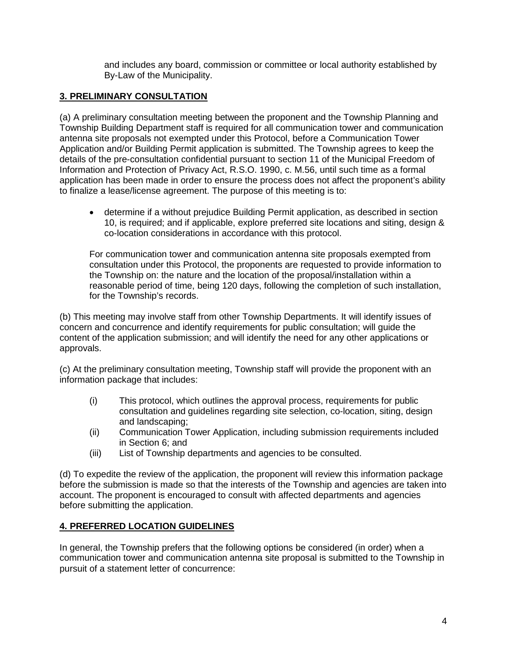and includes any board, commission or committee or local authority established by By-Law of the Municipality.

# **3. PRELIMINARY CONSULTATION**

(a) A preliminary consultation meeting between the proponent and the Township Planning and Township Building Department staff is required for all communication tower and communication antenna site proposals not exempted under this Protocol, before a Communication Tower Application and/or Building Permit application is submitted. The Township agrees to keep the details of the pre-consultation confidential pursuant to section 11 of the Municipal Freedom of Information and Protection of Privacy Act, R.S.O. 1990, c. M.56, until such time as a formal application has been made in order to ensure the process does not affect the proponent's ability to finalize a lease/license agreement. The purpose of this meeting is to:

• determine if a without prejudice Building Permit application, as described in section 10, is required; and if applicable, explore preferred site locations and siting, design & co-location considerations in accordance with this protocol.

For communication tower and communication antenna site proposals exempted from consultation under this Protocol, the proponents are requested to provide information to the Township on: the nature and the location of the proposal/installation within a reasonable period of time, being 120 days, following the completion of such installation, for the Township's records.

(b) This meeting may involve staff from other Township Departments. It will identify issues of concern and concurrence and identify requirements for public consultation; will guide the content of the application submission; and will identify the need for any other applications or approvals.

(c) At the preliminary consultation meeting, Township staff will provide the proponent with an information package that includes:

- (i) This protocol, which outlines the approval process, requirements for public consultation and guidelines regarding site selection, co-location, siting, design and landscaping;
- (ii) Communication Tower Application, including submission requirements included in Section 6; and
- (iii) List of Township departments and agencies to be consulted.

(d) To expedite the review of the application, the proponent will review this information package before the submission is made so that the interests of the Township and agencies are taken into account. The proponent is encouraged to consult with affected departments and agencies before submitting the application.

# **4. PREFERRED LOCATION GUIDELINES**

In general, the Township prefers that the following options be considered (in order) when a communication tower and communication antenna site proposal is submitted to the Township in pursuit of a statement letter of concurrence: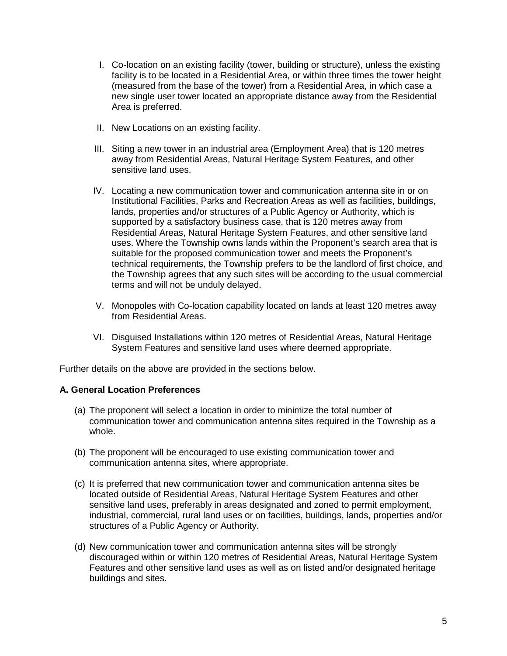- I. Co-location on an existing facility (tower, building or structure), unless the existing facility is to be located in a Residential Area, or within three times the tower height (measured from the base of the tower) from a Residential Area, in which case a new single user tower located an appropriate distance away from the Residential Area is preferred.
- II. New Locations on an existing facility.
- III. Siting a new tower in an industrial area (Employment Area) that is 120 metres away from Residential Areas, Natural Heritage System Features, and other sensitive land uses.
- IV. Locating a new communication tower and communication antenna site in or on Institutional Facilities, Parks and Recreation Areas as well as facilities, buildings, lands, properties and/or structures of a Public Agency or Authority, which is supported by a satisfactory business case, that is 120 metres away from Residential Areas, Natural Heritage System Features, and other sensitive land uses. Where the Township owns lands within the Proponent's search area that is suitable for the proposed communication tower and meets the Proponent's technical requirements, the Township prefers to be the landlord of first choice, and the Township agrees that any such sites will be according to the usual commercial terms and will not be unduly delayed.
- V. Monopoles with Co-location capability located on lands at least 120 metres away from Residential Areas.
- VI. Disguised Installations within 120 metres of Residential Areas, Natural Heritage System Features and sensitive land uses where deemed appropriate.

Further details on the above are provided in the sections below.

### **A. General Location Preferences**

- (a) The proponent will select a location in order to minimize the total number of communication tower and communication antenna sites required in the Township as a whole.
- (b) The proponent will be encouraged to use existing communication tower and communication antenna sites, where appropriate.
- (c) It is preferred that new communication tower and communication antenna sites be located outside of Residential Areas, Natural Heritage System Features and other sensitive land uses, preferably in areas designated and zoned to permit employment, industrial, commercial, rural land uses or on facilities, buildings, lands, properties and/or structures of a Public Agency or Authority.
- (d) New communication tower and communication antenna sites will be strongly discouraged within or within 120 metres of Residential Areas, Natural Heritage System Features and other sensitive land uses as well as on listed and/or designated heritage buildings and sites.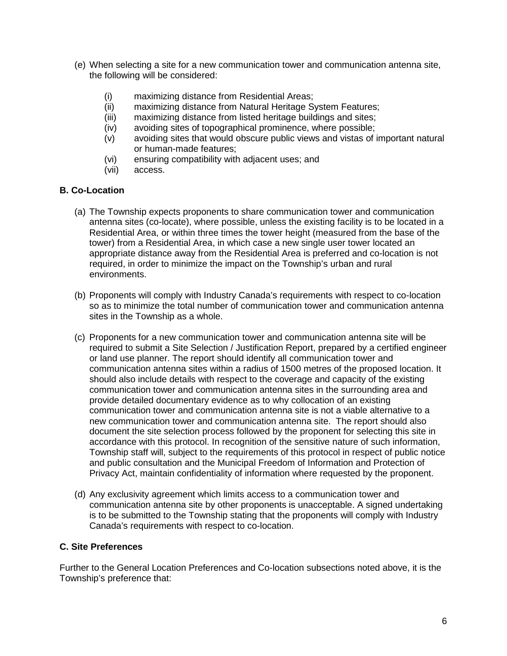- (e) When selecting a site for a new communication tower and communication antenna site, the following will be considered:
	- (i) maximizing distance from Residential Areas;
	- (ii) maximizing distance from Natural Heritage System Features;
	- (iii) maximizing distance from listed heritage buildings and sites;
	- (iv) avoiding sites of topographical prominence, where possible;
	- (v) avoiding sites that would obscure public views and vistas of important natural or human-made features;
	- (vi) ensuring compatibility with adjacent uses; and
	- (vii) access.

### **B. Co-Location**

- (a) The Township expects proponents to share communication tower and communication antenna sites (co-locate), where possible, unless the existing facility is to be located in a Residential Area, or within three times the tower height (measured from the base of the tower) from a Residential Area, in which case a new single user tower located an appropriate distance away from the Residential Area is preferred and co-location is not required, in order to minimize the impact on the Township's urban and rural environments.
- (b) Proponents will comply with Industry Canada's requirements with respect to co-location so as to minimize the total number of communication tower and communication antenna sites in the Township as a whole.
- (c) Proponents for a new communication tower and communication antenna site will be required to submit a Site Selection / Justification Report, prepared by a certified engineer or land use planner. The report should identify all communication tower and communication antenna sites within a radius of 1500 metres of the proposed location. It should also include details with respect to the coverage and capacity of the existing communication tower and communication antenna sites in the surrounding area and provide detailed documentary evidence as to why collocation of an existing communication tower and communication antenna site is not a viable alternative to a new communication tower and communication antenna site. The report should also document the site selection process followed by the proponent for selecting this site in accordance with this protocol. In recognition of the sensitive nature of such information, Township staff will, subject to the requirements of this protocol in respect of public notice and public consultation and the Municipal Freedom of Information and Protection of Privacy Act, maintain confidentiality of information where requested by the proponent.
- (d) Any exclusivity agreement which limits access to a communication tower and communication antenna site by other proponents is unacceptable. A signed undertaking is to be submitted to the Township stating that the proponents will comply with Industry Canada's requirements with respect to co-location.

# **C. Site Preferences**

Further to the General Location Preferences and Co-location subsections noted above, it is the Township's preference that: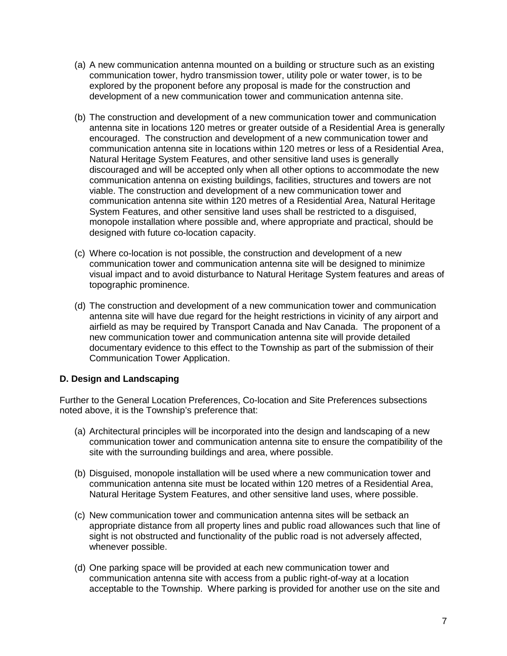- (a) A new communication antenna mounted on a building or structure such as an existing communication tower, hydro transmission tower, utility pole or water tower, is to be explored by the proponent before any proposal is made for the construction and development of a new communication tower and communication antenna site.
- (b) The construction and development of a new communication tower and communication antenna site in locations 120 metres or greater outside of a Residential Area is generally encouraged. The construction and development of a new communication tower and communication antenna site in locations within 120 metres or less of a Residential Area, Natural Heritage System Features, and other sensitive land uses is generally discouraged and will be accepted only when all other options to accommodate the new communication antenna on existing buildings, facilities, structures and towers are not viable. The construction and development of a new communication tower and communication antenna site within 120 metres of a Residential Area, Natural Heritage System Features, and other sensitive land uses shall be restricted to a disguised, monopole installation where possible and, where appropriate and practical, should be designed with future co-location capacity.
- (c) Where co-location is not possible, the construction and development of a new communication tower and communication antenna site will be designed to minimize visual impact and to avoid disturbance to Natural Heritage System features and areas of topographic prominence.
- (d) The construction and development of a new communication tower and communication antenna site will have due regard for the height restrictions in vicinity of any airport and airfield as may be required by Transport Canada and Nav Canada. The proponent of a new communication tower and communication antenna site will provide detailed documentary evidence to this effect to the Township as part of the submission of their Communication Tower Application.

# **D. Design and Landscaping**

Further to the General Location Preferences, Co-location and Site Preferences subsections noted above, it is the Township's preference that:

- (a) Architectural principles will be incorporated into the design and landscaping of a new communication tower and communication antenna site to ensure the compatibility of the site with the surrounding buildings and area, where possible.
- (b) Disguised, monopole installation will be used where a new communication tower and communication antenna site must be located within 120 metres of a Residential Area, Natural Heritage System Features, and other sensitive land uses, where possible.
- (c) New communication tower and communication antenna sites will be setback an appropriate distance from all property lines and public road allowances such that line of sight is not obstructed and functionality of the public road is not adversely affected, whenever possible.
- (d) One parking space will be provided at each new communication tower and communication antenna site with access from a public right-of-way at a location acceptable to the Township. Where parking is provided for another use on the site and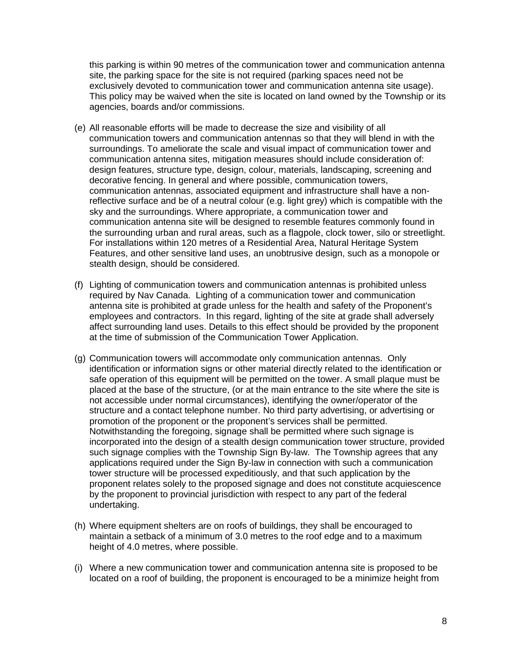this parking is within 90 metres of the communication tower and communication antenna site, the parking space for the site is not required (parking spaces need not be exclusively devoted to communication tower and communication antenna site usage). This policy may be waived when the site is located on land owned by the Township or its agencies, boards and/or commissions.

- (e) All reasonable efforts will be made to decrease the size and visibility of all communication towers and communication antennas so that they will blend in with the surroundings. To ameliorate the scale and visual impact of communication tower and communication antenna sites, mitigation measures should include consideration of: design features, structure type, design, colour, materials, landscaping, screening and decorative fencing. In general and where possible, communication towers, communication antennas, associated equipment and infrastructure shall have a nonreflective surface and be of a neutral colour (e.g. light grey) which is compatible with the sky and the surroundings. Where appropriate, a communication tower and communication antenna site will be designed to resemble features commonly found in the surrounding urban and rural areas, such as a flagpole, clock tower, silo or streetlight. For installations within 120 metres of a Residential Area, Natural Heritage System Features, and other sensitive land uses, an unobtrusive design, such as a monopole or stealth design, should be considered.
- (f) Lighting of communication towers and communication antennas is prohibited unless required by Nav Canada. Lighting of a communication tower and communication antenna site is prohibited at grade unless for the health and safety of the Proponent's employees and contractors. In this regard, lighting of the site at grade shall adversely affect surrounding land uses. Details to this effect should be provided by the proponent at the time of submission of the Communication Tower Application.
- (g) Communication towers will accommodate only communication antennas. Only identification or information signs or other material directly related to the identification or safe operation of this equipment will be permitted on the tower. A small plaque must be placed at the base of the structure, (or at the main entrance to the site where the site is not accessible under normal circumstances), identifying the owner/operator of the structure and a contact telephone number. No third party advertising, or advertising or promotion of the proponent or the proponent's services shall be permitted. Notwithstanding the foregoing, signage shall be permitted where such signage is incorporated into the design of a stealth design communication tower structure, provided such signage complies with the Township Sign By-law. The Township agrees that any applications required under the Sign By-law in connection with such a communication tower structure will be processed expeditiously, and that such application by the proponent relates solely to the proposed signage and does not constitute acquiescence by the proponent to provincial jurisdiction with respect to any part of the federal undertaking.
- (h) Where equipment shelters are on roofs of buildings, they shall be encouraged to maintain a setback of a minimum of 3.0 metres to the roof edge and to a maximum height of 4.0 metres, where possible.
- (i) Where a new communication tower and communication antenna site is proposed to be located on a roof of building, the proponent is encouraged to be a minimize height from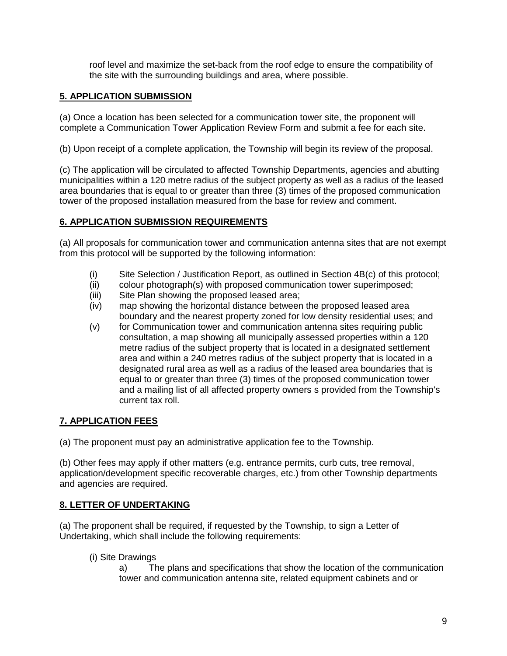roof level and maximize the set-back from the roof edge to ensure the compatibility of the site with the surrounding buildings and area, where possible.

### **5. APPLICATION SUBMISSION**

(a) Once a location has been selected for a communication tower site, the proponent will complete a Communication Tower Application Review Form and submit a fee for each site.

(b) Upon receipt of a complete application, the Township will begin its review of the proposal.

(c) The application will be circulated to affected Township Departments, agencies and abutting municipalities within a 120 metre radius of the subject property as well as a radius of the leased area boundaries that is equal to or greater than three (3) times of the proposed communication tower of the proposed installation measured from the base for review and comment.

# **6. APPLICATION SUBMISSION REQUIREMENTS**

(a) All proposals for communication tower and communication antenna sites that are not exempt from this protocol will be supported by the following information:

- (i) Site Selection / Justification Report, as outlined in Section 4B(c) of this protocol;
- (ii) colour photograph(s) with proposed communication tower superimposed;
- (iii) Site Plan showing the proposed leased area;
- (iv) map showing the horizontal distance between the proposed leased area boundary and the nearest property zoned for low density residential uses; and
- (v) for Communication tower and communication antenna sites requiring public consultation, a map showing all municipally assessed properties within a 120 metre radius of the subject property that is located in a designated settlement area and within a 240 metres radius of the subject property that is located in a designated rural area as well as a radius of the leased area boundaries that is equal to or greater than three (3) times of the proposed communication tower and a mailing list of all affected property owners s provided from the Township's current tax roll.

# **7. APPLICATION FEES**

(a) The proponent must pay an administrative application fee to the Township.

(b) Other fees may apply if other matters (e.g. entrance permits, curb cuts, tree removal, application/development specific recoverable charges, etc.) from other Township departments and agencies are required.

### **8. LETTER OF UNDERTAKING**

(a) The proponent shall be required, if requested by the Township, to sign a Letter of Undertaking, which shall include the following requirements:

(i) Site Drawings

a) The plans and specifications that show the location of the communication tower and communication antenna site, related equipment cabinets and or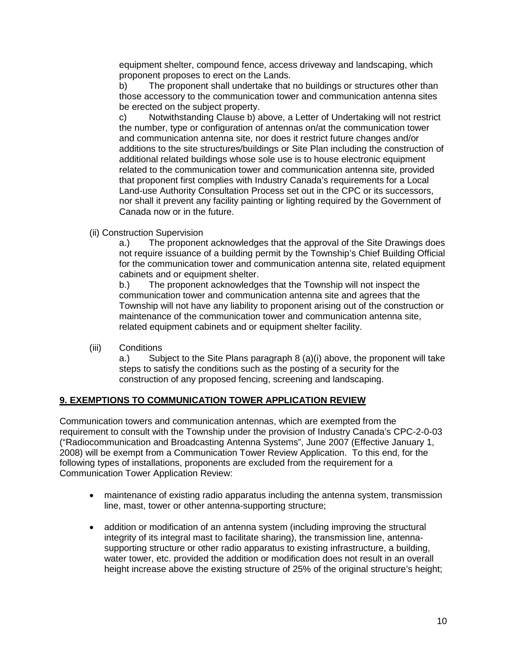equipment shelter, compound fence, access driveway and landscaping, which proponent proposes to erect on the Lands.

b) The proponent shall undertake that no buildings or structures other than those accessory to the communication tower and communication antenna sites be erected on the subject property.

c) Notwithstanding Clause b) above, a Letter of Undertaking will not restrict the number, type or configuration of antennas on/at the communication tower and communication antenna site, nor does it restrict future changes and/or additions to the site structures/buildings or Site Plan including the construction of additional related buildings whose sole use is to house electronic equipment related to the communication tower and communication antenna site, provided that proponent first complies with Industry Canada's requirements for a Local Land-use Authority Consultation Process set out in the CPC or its successors, nor shall it prevent any facility painting or lighting required by the Government of Canada now or in the future.

(ii) Construction Supervision

a.) The proponent acknowledges that the approval of the Site Drawings does not require issuance of a building permit by the Township's Chief Building Official for the communication tower and communication antenna site, related equipment cabinets and or equipment shelter.

b.) The proponent acknowledges that the Township will not inspect the communication tower and communication antenna site and agrees that the Township will not have any liability to proponent arising out of the construction or maintenance of the communication tower and communication antenna site, related equipment cabinets and or equipment shelter facility.

(iii) Conditions

a.) Subject to the Site Plans paragraph 8 (a)(i) above, the proponent will take steps to satisfy the conditions such as the posting of a security for the construction of any proposed fencing, screening and landscaping.

### **9. EXEMPTIONS TO COMMUNICATION TOWER APPLICATION REVIEW**

Communication towers and communication antennas, which are exempted from the requirement to consult with the Township under the provision of Industry Canada's CPC-2-0-03 ("Radiocommunication and Broadcasting Antenna Systems", June 2007 (Effective January 1, 2008) will be exempt from a Communication Tower Review Application. To this end, for the following types of installations, proponents are excluded from the requirement for a Communication Tower Application Review:

- maintenance of existing radio apparatus including the antenna system, transmission line, mast, tower or other antenna-supporting structure;
- addition or modification of an antenna system (including improving the structural integrity of its integral mast to facilitate sharing), the transmission line, antennasupporting structure or other radio apparatus to existing infrastructure, a building, water tower, etc. provided the addition or modification does not result in an overall height increase above the existing structure of 25% of the original structure's height;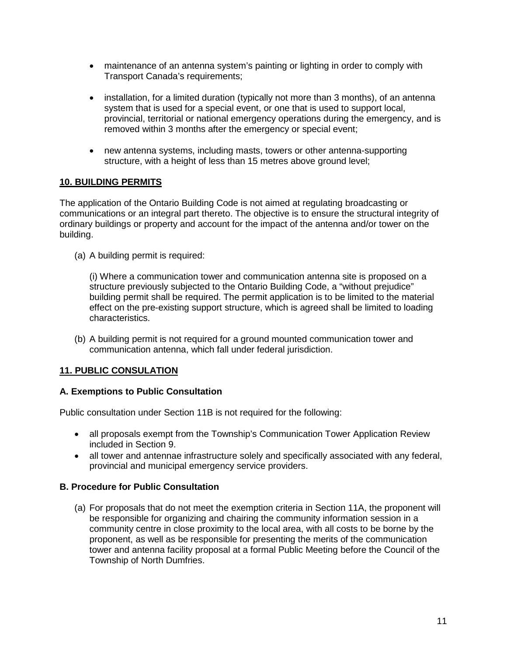- maintenance of an antenna system's painting or lighting in order to comply with Transport Canada's requirements;
- installation, for a limited duration (typically not more than 3 months), of an antenna system that is used for a special event, or one that is used to support local, provincial, territorial or national emergency operations during the emergency, and is removed within 3 months after the emergency or special event;
- new antenna systems, including masts, towers or other antenna-supporting structure, with a height of less than 15 metres above ground level;

# **10. BUILDING PERMITS**

The application of the Ontario Building Code is not aimed at regulating broadcasting or communications or an integral part thereto. The objective is to ensure the structural integrity of ordinary buildings or property and account for the impact of the antenna and/or tower on the building.

(a) A building permit is required:

(i) Where a communication tower and communication antenna site is proposed on a structure previously subjected to the Ontario Building Code, a "without prejudice" building permit shall be required. The permit application is to be limited to the material effect on the pre-existing support structure, which is agreed shall be limited to loading characteristics.

(b) A building permit is not required for a ground mounted communication tower and communication antenna, which fall under federal jurisdiction.

### **11. PUBLIC CONSULATION**

### **A. Exemptions to Public Consultation**

Public consultation under Section 11B is not required for the following:

- all proposals exempt from the Township's Communication Tower Application Review included in Section 9.
- all tower and antennae infrastructure solely and specifically associated with any federal, provincial and municipal emergency service providers.

### **B. Procedure for Public Consultation**

(a) For proposals that do not meet the exemption criteria in Section 11A, the proponent will be responsible for organizing and chairing the community information session in a community centre in close proximity to the local area, with all costs to be borne by the proponent, as well as be responsible for presenting the merits of the communication tower and antenna facility proposal at a formal Public Meeting before the Council of the Township of North Dumfries.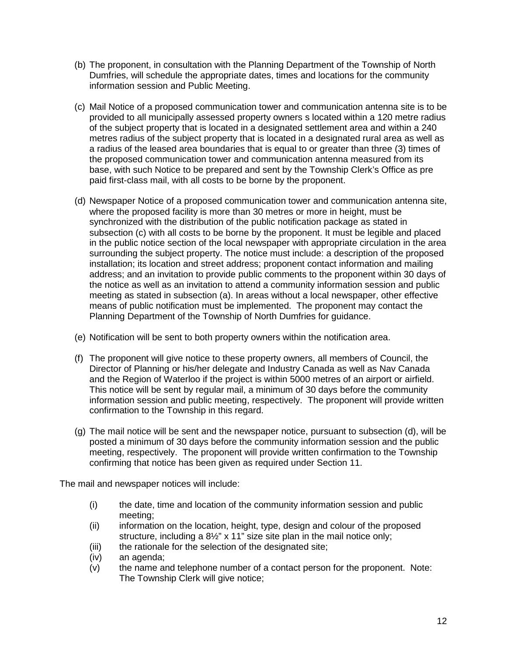- (b) The proponent, in consultation with the Planning Department of the Township of North Dumfries, will schedule the appropriate dates, times and locations for the community information session and Public Meeting.
- (c) Mail Notice of a proposed communication tower and communication antenna site is to be provided to all municipally assessed property owners s located within a 120 metre radius of the subject property that is located in a designated settlement area and within a 240 metres radius of the subject property that is located in a designated rural area as well as a radius of the leased area boundaries that is equal to or greater than three (3) times of the proposed communication tower and communication antenna measured from its base, with such Notice to be prepared and sent by the Township Clerk's Office as pre paid first-class mail, with all costs to be borne by the proponent.
- (d) Newspaper Notice of a proposed communication tower and communication antenna site, where the proposed facility is more than 30 metres or more in height, must be synchronized with the distribution of the public notification package as stated in subsection (c) with all costs to be borne by the proponent. It must be legible and placed in the public notice section of the local newspaper with appropriate circulation in the area surrounding the subject property. The notice must include: a description of the proposed installation; its location and street address; proponent contact information and mailing address; and an invitation to provide public comments to the proponent within 30 days of the notice as well as an invitation to attend a community information session and public meeting as stated in subsection (a). In areas without a local newspaper, other effective means of public notification must be implemented. The proponent may contact the Planning Department of the Township of North Dumfries for guidance.
- (e) Notification will be sent to both property owners within the notification area.
- (f) The proponent will give notice to these property owners, all members of Council, the Director of Planning or his/her delegate and Industry Canada as well as Nav Canada and the Region of Waterloo if the project is within 5000 metres of an airport or airfield. This notice will be sent by regular mail, a minimum of 30 days before the community information session and public meeting, respectively. The proponent will provide written confirmation to the Township in this regard.
- (g) The mail notice will be sent and the newspaper notice, pursuant to subsection (d), will be posted a minimum of 30 days before the community information session and the public meeting, respectively. The proponent will provide written confirmation to the Township confirming that notice has been given as required under Section 11.

The mail and newspaper notices will include:

- (i) the date, time and location of the community information session and public meeting;
- (ii) information on the location, height, type, design and colour of the proposed structure, including a 8½" x 11" size site plan in the mail notice only;
- (iii) the rationale for the selection of the designated site;
- (iv) an agenda;
- (v) the name and telephone number of a contact person for the proponent. Note: The Township Clerk will give notice;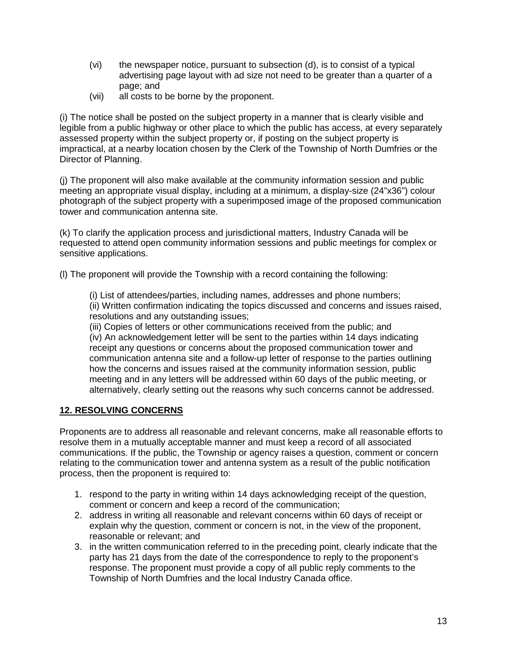- (vi) the newspaper notice, pursuant to subsection (d), is to consist of a typical advertising page layout with ad size not need to be greater than a quarter of a page; and
- (vii) all costs to be borne by the proponent.

(i) The notice shall be posted on the subject property in a manner that is clearly visible and legible from a public highway or other place to which the public has access, at every separately assessed property within the subject property or, if posting on the subject property is impractical, at a nearby location chosen by the Clerk of the Township of North Dumfries or the Director of Planning.

(j) The proponent will also make available at the community information session and public meeting an appropriate visual display, including at a minimum, a display-size (24"x36") colour photograph of the subject property with a superimposed image of the proposed communication tower and communication antenna site.

(k) To clarify the application process and jurisdictional matters, Industry Canada will be requested to attend open community information sessions and public meetings for complex or sensitive applications.

(l) The proponent will provide the Township with a record containing the following:

(i) List of attendees/parties, including names, addresses and phone numbers; (ii) Written confirmation indicating the topics discussed and concerns and issues raised, resolutions and any outstanding issues;

(iii) Copies of letters or other communications received from the public; and (iv) An acknowledgement letter will be sent to the parties within 14 days indicating receipt any questions or concerns about the proposed communication tower and communication antenna site and a follow-up letter of response to the parties outlining how the concerns and issues raised at the community information session, public meeting and in any letters will be addressed within 60 days of the public meeting, or alternatively, clearly setting out the reasons why such concerns cannot be addressed.

### **12. RESOLVING CONCERNS**

Proponents are to address all reasonable and relevant concerns, make all reasonable efforts to resolve them in a mutually acceptable manner and must keep a record of all associated communications. If the public, the Township or agency raises a question, comment or concern relating to the communication tower and antenna system as a result of the public notification process, then the proponent is required to:

- 1. respond to the party in writing within 14 days acknowledging receipt of the question, comment or concern and keep a record of the communication;
- 2. address in writing all reasonable and relevant concerns within 60 days of receipt or explain why the question, comment or concern is not, in the view of the proponent, reasonable or relevant; and
- 3. in the written communication referred to in the preceding point, clearly indicate that the party has 21 days from the date of the correspondence to reply to the proponent's response. The proponent must provide a copy of all public reply comments to the Township of North Dumfries and the local Industry Canada office.